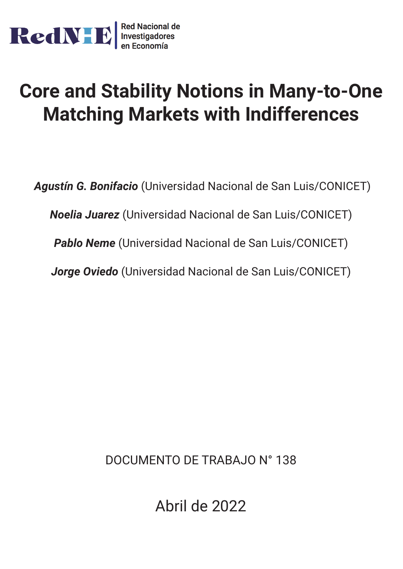

# **Core and Stability Notions in Many-to-One Matching Markets with Indifferences**

*Agustín G. Bonifacio* (Universidad Nacional de San Luis/CONICET) *Noelia Juarez* (Universidad Nacional de San Luis/CONICET) *Pablo Neme* (Universidad Nacional de San Luis/CONICET) *Jorge Oviedo* (Universidad Nacional de San Luis/CONICET)

DOCUMENTO DE TRABAJO N° 138

Abril de 2022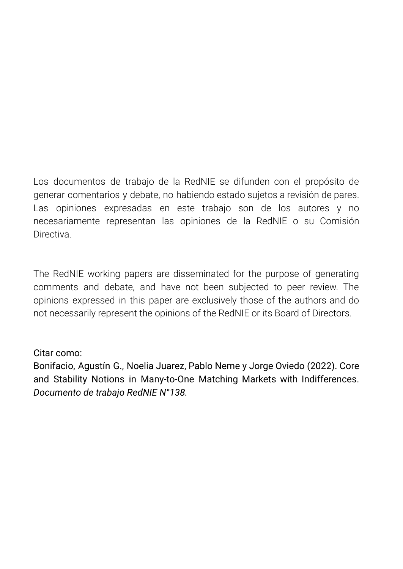Los documentos de trabajo de la RedNIE se difunden con el propósito de generar comentarios y debate, no habiendo estado sujetos a revisión de pares. Las opiniones expresadas en este trabajo son de los autores y no necesariamente representan las opiniones de la RedNIE o su Comisión **Directiva** 

The RedNIE working papers are disseminated for the purpose of generating comments and debate, and have not been subjected to peer review. The opinions expressed in this paper are exclusively those of the authors and do not necessarily represent the opinions of the RedNIE or its Board of Directors.

# Citar como:

Bonifacio, Agustín G., Noelia Juarez, Pablo Neme y Jorge Oviedo (2022). Core and Stability Notions in Many-to-One Matching Markets with Indifferences. *Documento de trabajo RedNIE N°138.*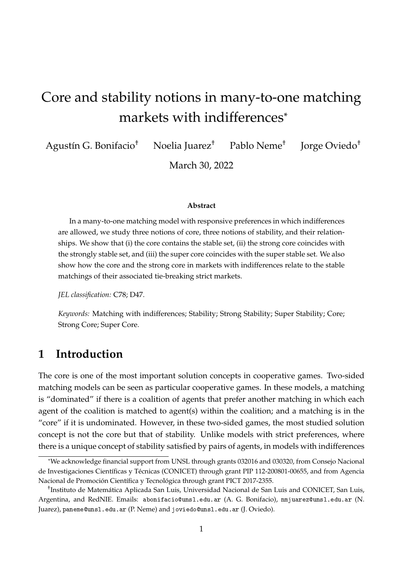# Core and stability notions in many-to-one matching markets with indifferences\*

Agustín G. Bonifacio† Noelia Juarez† Pablo Neme† Jorge Oviedo†

March 30, 2022

#### **Abstract**

In a many-to-one matching model with responsive preferences in which indifferences are allowed, we study three notions of core, three notions of stability, and their relationships. We show that (i) the core contains the stable set, (ii) the strong core coincides with the strongly stable set, and (iii) the super core coincides with the super stable set. We also show how the core and the strong core in markets with indifferences relate to the stable matchings of their associated tie-breaking strict markets.

*JEL classification:* C78; D47.

*Keywords:* Matching with indifferences; Stability; Strong Stability; Super Stability; Core; Strong Core; Super Core.

# **1 Introduction**

The core is one of the most important solution concepts in cooperative games. Two-sided matching models can be seen as particular cooperative games. In these models, a matching is "dominated" if there is a coalition of agents that prefer another matching in which each agent of the coalition is matched to agent(s) within the coalition; and a matching is in the "core" if it is undominated. However, in these two-sided games, the most studied solution concept is not the core but that of stability. Unlike models with strict preferences, where there is a unique concept of stability satisfied by pairs of agents, in models with indifferences

<sup>\*</sup>We acknowledge financial support from UNSL through grants 032016 and 030320, from Consejo Nacional de Investigaciones Científicas y Técnicas (CONICET) through grant PIP 112-200801-00655, and from Agencia Nacional de Promoción Científica y Tecnológica through grant PICT 2017-2355.

<sup>†</sup> Instituto de Matemática Aplicada San Luis, Universidad Nacional de San Luis and CONICET, San Luis, Argentina, and RedNIE. Emails: abonifacio@unsl.edu.ar (A. G. Bonifacio), nmjuarez@unsl.edu.ar (N. Juarez), paneme@unsl.edu.ar (P. Neme) and joviedo@unsl.edu.ar (J. Oviedo).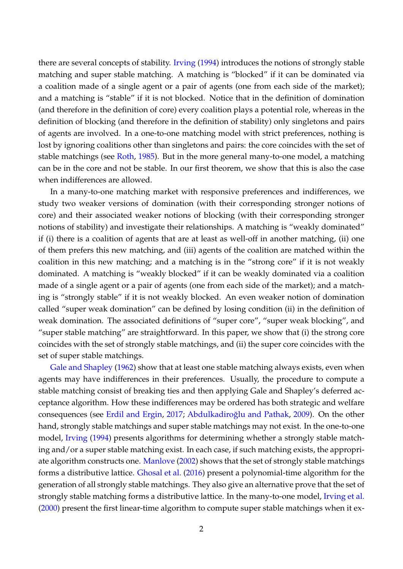there are several concepts of stability. [Irving](#page-17-0) [\(1994\)](#page-17-0) introduces the notions of strongly stable matching and super stable matching. A matching is "blocked" if it can be dominated via a coalition made of a single agent or a pair of agents (one from each side of the market); and a matching is "stable" if it is not blocked. Notice that in the definition of domination (and therefore in the definition of core) every coalition plays a potential role, whereas in the definition of blocking (and therefore in the definition of stability) only singletons and pairs of agents are involved. In a one-to-one matching model with strict preferences, nothing is lost by ignoring coalitions other than singletons and pairs: the core coincides with the set of stable matchings (see [Roth,](#page-17-1) [1985\)](#page-17-1). But in the more general many-to-one model, a matching can be in the core and not be stable. In our first theorem, we show that this is also the case when indifferences are allowed.

In a many-to-one matching market with responsive preferences and indifferences, we study two weaker versions of domination (with their corresponding stronger notions of core) and their associated weaker notions of blocking (with their corresponding stronger notions of stability) and investigate their relationships. A matching is "weakly dominated" if (i) there is a coalition of agents that are at least as well-off in another matching, (ii) one of them prefers this new matching, and (iii) agents of the coalition are matched within the coalition in this new matching; and a matching is in the "strong core" if it is not weakly dominated. A matching is "weakly blocked" if it can be weakly dominated via a coalition made of a single agent or a pair of agents (one from each side of the market); and a matching is "strongly stable" if it is not weakly blocked. An even weaker notion of domination called "super weak domination" can be defined by losing condition (ii) in the definition of weak domination. The associated definitions of "super core", "super weak blocking", and "super stable matching" are straightforward. In this paper, we show that (i) the strong core coincides with the set of strongly stable matchings, and (ii) the super core coincides with the set of super stable matchings.

[Gale and Shapley](#page-17-2) [\(1962\)](#page-17-2) show that at least one stable matching always exists, even when agents may have indifferences in their preferences. Usually, the procedure to compute a stable matching consist of breaking ties and then applying Gale and Shapley's deferred acceptance algorithm. How these indifferences may be ordered has both strategic and welfare consequences (see [Erdil and Ergin,](#page-16-0) [2017;](#page-16-0) Abdulkadiroğlu and Pathak, [2009\)](#page-16-1). On the other hand, strongly stable matchings and super stable matchings may not exist. In the one-to-one model, [Irving](#page-17-0) [\(1994\)](#page-17-0) presents algorithms for determining whether a strongly stable matching and/or a super stable matching exist. In each case, if such matching exists, the appropriate algorithm constructs one. [Manlove](#page-17-3) [\(2002\)](#page-17-3) shows that the set of strongly stable matchings forms a distributive lattice. [Ghosal et al.](#page-17-4) [\(2016\)](#page-17-4) present a polynomial-time algorithm for the generation of all strongly stable matchings. They also give an alternative prove that the set of strongly stable matching forms a distributive lattice. In the many-to-one model, [Irving et al.](#page-17-5) [\(2000\)](#page-17-5) present the first linear-time algorithm to compute super stable matchings when it ex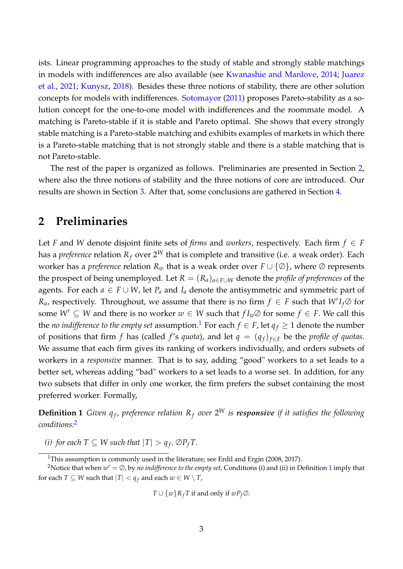ists. Linear programming approaches to the study of stable and strongly stable matchings in models with indifferences are also available (see [Kwanashie and Manlove,](#page-17-6) [2014;](#page-17-6) [Juarez](#page-17-7) [et al.,](#page-17-7) [2021;](#page-17-7) [Kunysz,](#page-17-8) [2018\)](#page-17-8). Besides these three notions of stability, there are other solution concepts for models with indifferences. [Sotomayor](#page-17-9) [\(2011\)](#page-17-9) proposes Pareto-stability as a solution concept for the one-to-one model with indifferences and the roommate model. A matching is Pareto-stable if it is stable and Pareto optimal. She shows that every strongly stable matching is a Pareto-stable matching and exhibits examples of markets in which there is a Pareto-stable matching that is not strongly stable and there is a stable matching that is not Pareto-stable.

The rest of the paper is organized as follows. Preliminaries are presented in Section [2,](#page-4-0) where also the three notions of stability and the three notions of core are introduced. Our results are shown in Section [3.](#page-8-0) After that, some conclusions are gathered in Section [4.](#page-16-2)

# <span id="page-4-0"></span>**2 Preliminaries**

Let *F* and *W* denote disjoint finite sets of *firms* and *workers*, respectively. Each firm  $f \in F$ has a *preference* relation  $R_f$  over  $2^W$  that is complete and transitive (i.e. a weak order). Each worker has a *preference* relation  $R_w$  that is a weak order over  $F \cup \{ \emptyset \}$ , where  $\emptyset$  represents the prospect of being unemployed. Let  $R = (R_a)_{a \in F \cup W}$  denote the *profile of preferences* of the agents. For each  $a \in F \cup W$ , let  $P_a$  and  $I_a$  denote the antisymmetric and symmetric part of *R<sub>a*</sub>, respectively. Throughout, we assume that there is no firm  $f \in F$  such that  $W'I_f\varnothing$  for some  $W' \subseteq W$  and there is no worker  $w \in W$  such that  $f I_w \varnothing$  for some  $f \in F$ . We call this the *no indifference to the empty set* assumption.<sup>[1](#page-4-1)</sup> For each  $f \in F$ , let  $q_f \geq 1$  denote the number of positions that firm *f* has (called *f*'s *quota*), and let  $q = (q_f)_{f \in F}$  be the *profile of quotas*. We assume that each firm gives its ranking of workers individually, and orders subsets of workers in a *responsive* manner. That is to say, adding "good" workers to a set leads to a better set, whereas adding "bad" workers to a set leads to a worse set. In addition, for any two subsets that differ in only one worker, the firm prefers the subset containing the most preferred worker. Formally,

<span id="page-4-3"></span>**Definition 1** *Given*  $q_f$ *, preference relation*  $R_f$  *over*  $2^W$  *is responsive if it satisfies the following conditions:*[2](#page-4-2)

*(i) for each*  $T \subseteq W$  *such that*  $|T| > q_f$ ,  $\emptyset P_f T$ .

<span id="page-4-2"></span><span id="page-4-1"></span><sup>&</sup>lt;sup>1</sup>This assumption is commonly used in the literature; see Erdil and Ergin (2008, 2017).

<sup>&</sup>lt;sup>2</sup>Notice that when  $w' = \oslash$ , by *no indifference to the empty set,* Conditions (i) and (ii) in Definition [1](#page-4-3) imply that for each *T*  $\subseteq$  *W* such that  $|T|$  <  $q_f$  and each  $w \in W \setminus T$ ,

*T* ∪  $\{w\}$ *R*<sup>*f*</sup> *T* if and only if  $wP_f$ ⊘.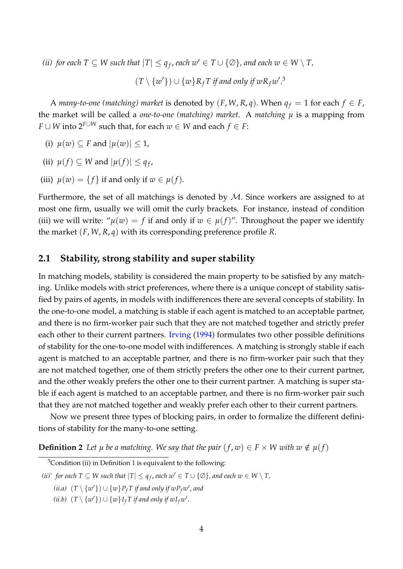*(ii) for each*  $T \subseteq W$  *such that*  $|T| \leq q_f$ *, each*  $w' \in T \cup \{ \emptyset \}$ *, and each*  $w \in W \setminus T$ *,* 

 $(T \setminus \{w'\}) \cup \{w\} R_f T$  if and only if  $wR_f w'.<sup>3</sup>$  $wR_f w'.<sup>3</sup>$  $wR_f w'.<sup>3</sup>$ 

A *many-to-one (matching) market* is denoted by  $(F, W, R, q)$ . When  $q_f = 1$  for each  $f \in F$ , the market will be called a *one-to-one* (matching) market. A matching  $\mu$  is a mapping from *F* ∪ *W* into  $2^{F \cup W}$  such that, for each  $w \in W$  and each  $f \in F$ :

- (i)  $\mu(w) \subseteq F$  and  $|\mu(w)| \leq 1$ ,
- (ii)  $\mu(f) \subseteq W$  and  $|\mu(f)| \leq q_f$ ,
- (iii)  $\mu(w) = \{f\}$  if and only if  $w \in \mu(f)$ .

Furthermore, the set of all matchings is denoted by  $M$ . Since workers are assigned to at most one firm, usually we will omit the curly brackets. For instance, instead of condition (iii) we will write: " $\mu(w) = f$  if and only if  $w \in \mu(f)$ ". Throughout the paper we identify the market (*F*, *W*, *R*, *q*) with its corresponding preference profile *R*.

#### **2.1 Stability, strong stability and super stability**

In matching models, stability is considered the main property to be satisfied by any matching. Unlike models with strict preferences, where there is a unique concept of stability satisfied by pairs of agents, in models with indifferences there are several concepts of stability. In the one-to-one model, a matching is stable if each agent is matched to an acceptable partner, and there is no firm-worker pair such that they are not matched together and strictly prefer each other to their current partners. [Irving](#page-17-0) [\(1994\)](#page-17-0) formulates two other possible definitions of stability for the one-to-one model with indifferences. A matching is strongly stable if each agent is matched to an acceptable partner, and there is no firm-worker pair such that they are not matched together, one of them strictly prefers the other one to their current partner, and the other weakly prefers the other one to their current partner. A matching is super stable if each agent is matched to an acceptable partner, and there is no firm-worker pair such that they are not matched together and weakly prefer each other to their current partners.

Now we present three types of blocking pairs, in order to formalize the different definitions of stability for the many-to-one setting.

**Definition 2** Let *µ* be a matching. We say that the pair  $(f, w) \in F \times W$  with  $w \notin \mu(f)$ 

<span id="page-5-0"></span> $3$ Condition (ii) in Definition [1](#page-4-3) is equivalent to the following:

*<sup>(</sup>ii)' for each*  $T \subseteq W$  *such that*  $|T| \leq q_f$ , *each*  $w' \in T \cup \{\emptyset\}$ *, and each*  $w \in W \setminus T$ *,* 

*<sup>(</sup>ii.a)*  $(T \setminus \{w'\}) ∪ \{w\} P_f T$  *if and only if*  $wP_f w'$ *, and* 

 $(ii.b)$   $(T \setminus \{w'\}) \cup \{w\}$ *I<sub>f</sub> T if and only if*  $w$ *I<sub>f</sub>* $w'$ .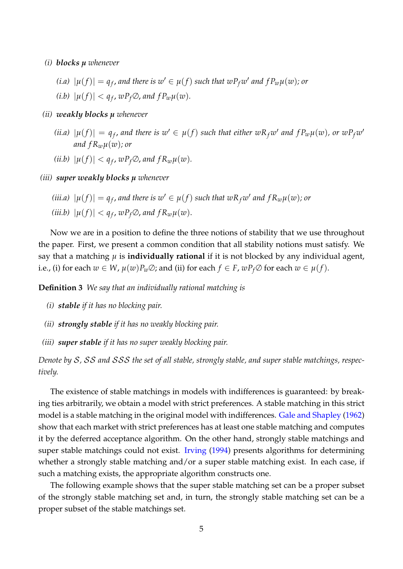- *(i) blocks µ whenever*
	- *(i.a)*  $|\mu(f)| = q_f$ , and there is  $w' \in \mu(f)$  such that  $wP_fw'$  and  $fP_w\mu(w)$ ; or  $(|i.b)| |u(f)| < q_f$ ,  $wP_f \emptyset$ , and  $fP_w \mu(w)$ .
- *(ii) weakly blocks µ whenever*
	- (*ii.a*)  $|\mu(f)| = q_f$ , and there is  $w' \in \mu(f)$  such that either  $wR_fw'$  and  $fP_w\mu(w)$ , or  $wP_fw'$ *and*  $f R_w \mu(w)$ *; or*
	- (*ii.b*)  $|\mu(f)| < q_f$ ,  $wP_f \oslash$ , and  $fR_w \mu(w)$ .
- *(iii) super weakly blocks µ whenever*
	- *(iii.a)*  $|\mu(f)| = q_f$ , and there is  $w' \in \mu(f)$  such that  $wR_fw'$  and  $fR_w\mu(w)$ ; or (*iii.b*)  $|\mu(f)| < q_f$ ,  $wP_f\varnothing$ , and  $fR_w\mu(w)$ .

Now we are in a position to define the three notions of stability that we use throughout the paper. First, we present a common condition that all stability notions must satisfy. We say that a matching  $\mu$  is **individually rational** if it is not blocked by any individual agent, i.e., (i) for each  $w \in W$ ,  $\mu(w)P_w \oslash$ ; and (ii) for each  $f \in F$ ,  $wP_f \oslash$  for each  $w \in \mu(f)$ .

**Definition 3** *We say that an individually rational matching is*

- *(i) stable if it has no blocking pair.*
- *(ii) strongly stable if it has no weakly blocking pair.*
- *(iii) super stable if it has no super weakly blocking pair.*

*Denote by* S*,* SS *and* SSS *the set of all stable, strongly stable, and super stable matchings, respectively.*

The existence of stable matchings in models with indifferences is guaranteed: by breaking ties arbitrarily, we obtain a model with strict preferences. A stable matching in this strict model is a stable matching in the original model with indifferences. [Gale and Shapley](#page-17-2) [\(1962\)](#page-17-2) show that each market with strict preferences has at least one stable matching and computes it by the deferred acceptance algorithm. On the other hand, strongly stable matchings and super stable matchings could not exist. [Irving](#page-17-0) [\(1994\)](#page-17-0) presents algorithms for determining whether a strongly stable matching and/or a super stable matching exist. In each case, if such a matching exists, the appropriate algorithm constructs one.

<span id="page-6-0"></span>The following example shows that the super stable matching set can be a proper subset of the strongly stable matching set and, in turn, the strongly stable matching set can be a proper subset of the stable matchings set.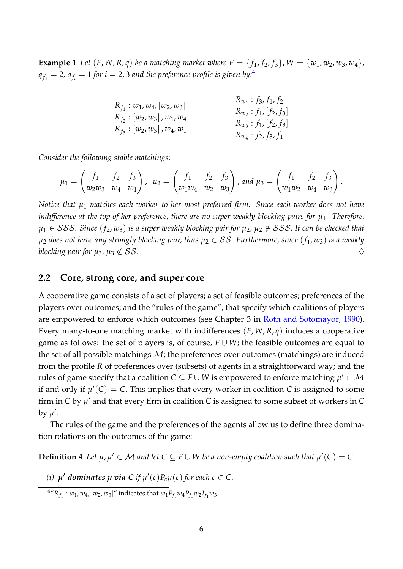**Example 1** Let  $(F, W, R, q)$  be a matching market where  $F = \{f_1, f_2, f_3\}$ ,  $W = \{w_1, w_2, w_3, w_4\}$ ,  $q_{f_1}=$  2*,*  $q_{f_i}=$  $1$  *for*  $i=$  *2,* 3 *and the preference profile is given by:* $^4$  $^4$ 

|                                   | $R_{w_1}: f_3, f_1, f_2$   |
|-----------------------------------|----------------------------|
| $R_{f_1}: w_1, w_4, [w_2, w_3]$   | $R_{w_2}: f_1, [f_2, f_3]$ |
| $R_f$ : $[w_2, w_3]$ , $w_1, w_4$ | $R_{w_3}: f_1, [f_2, f_3]$ |
| $R_{f_3}: [w_2, w_3], w_4, w_1$   | $R_{w_4}: f_2, f_3, f_1$   |

*Consider the following stable matchings:*

$$
\mu_1 = \begin{pmatrix} f_1 & f_2 & f_3 \\ w_2w_3 & w_4 & w_1 \end{pmatrix}, \ \ \mu_2 = \begin{pmatrix} f_1 & f_2 & f_3 \\ w_1w_4 & w_2 & w_3 \end{pmatrix}, \text{and } \mu_3 = \begin{pmatrix} f_1 & f_2 & f_3 \\ w_1w_2 & w_4 & w_3 \end{pmatrix}.
$$

*Notice that µ*<sup>1</sup> *matches each worker to her most preferred firm. Since each worker does not have indifference at the top of her preference, there are no super weakly blocking pairs for µ*1*. Therefore,*  $\mu_1$  ∈ *SSS*. Since ( $f_2$ ,  $w_3$ ) is a super weakly blocking pair for  $\mu_2$ ,  $\mu_2$  ∉ *SSS*. It can be checked that  $\mu_2$  *does not have any strongly blocking pair, thus*  $\mu_2 \in SS$ . Furthermore, since  $(f_1, w_3)$  is a weakly *blocking pair for*  $\mu_3$ ,  $\mu_3 \notin SS$ .

#### **2.2 Core, strong core, and super core**

A cooperative game consists of a set of players; a set of feasible outcomes; preferences of the players over outcomes; and the "rules of the game", that specify which coalitions of players are empowered to enforce which outcomes (see Chapter 3 in [Roth and Sotomayor,](#page-17-10) [1990\)](#page-17-10). Every many-to-one matching market with indifferences (*F*, *W*, *R*, *q*) induces a cooperative game as follows: the set of players is, of course,  $F \cup W$ ; the feasible outcomes are equal to the set of all possible matchings  $M$ ; the preferences over outcomes (matchings) are induced from the profile *R* of preferences over (subsets) of agents in a straightforward way; and the rules of game specify that a coalition  $\bar{C} \subseteq \bar{F} \cup W$  is empowered to enforce matching  $\mu' \in \mathcal{M}$ if and only if  $\mu'(C) = C$ . This implies that every worker in coalition *C* is assigned to some firm in  $C$  by  $\mu'$  and that every firm in coalition  $C$  is assigned to some subset of workers in  $C$ by  $\mu'$ .

The rules of the game and the preferences of the agents allow us to define three domination relations on the outcomes of the game:

**Definition 4** Let  $\mu$ ,  $\mu' \in \mathcal{M}$  and let  $C \subseteq F \cup W$  be a non-empty coalition such that  $\mu'(C) = C$ .

(*i*)  $\mu'$  dominates  $\mu$  via C if  $\mu'(c)P_c\mu(c)$  for each  $c \in C$ .

<span id="page-7-0"></span> $^4$ " $R_{f_1}$  :  $w_1$ ,  $w_4$ ,  $[w_2, w_3]$ " indicates that  $w_1 P_{f_1} w_4 P_{f_1} w_2 I_{f_1} w_3$ .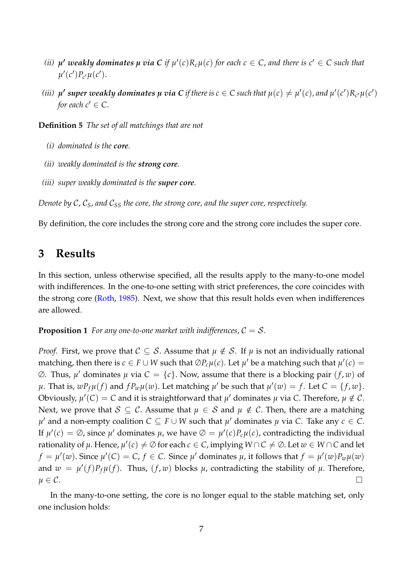- *(ii)*  $\mu'$  weakly dominates  $\mu$  via C if  $\mu'(c)R_c\mu(c)$  for each  $c \in C$ , and there is  $c' \in C$  such that  $\mu'(c')P_{c'}\mu(c').$
- (iii)  $\mu'$  super weakly dominates  $\mu$  via C if there is  $c\in C$  such that  $\mu(c)\neq\mu'(c)$  , and  $\mu'(c')R_{c'}\mu(c')$ *for each*  $c' \in C$ .

**Definition 5** *The set of all matchings that are not*

- *(i) dominated is the core.*
- *(ii) weakly dominated is the strong core.*
- *(iii) super weakly dominated is the super core.*

*Denote by C, C<sub>S</sub>, and C<sub>SS</sub> the core, the strong core, and the super core, respectively.* 

By definition, the core includes the strong core and the strong core includes the super core.

### <span id="page-8-0"></span>**3 Results**

In this section, unless otherwise specified, all the results apply to the many-to-one model with indifferences. In the one-to-one setting with strict preferences, the core coincides with the strong core [\(Roth,](#page-17-1) [1985\)](#page-17-1). Next, we show that this result holds even when indifferences are allowed.

#### <span id="page-8-2"></span>**Proposition 1** For any one-to-one market with indifferences,  $C = S$ .

*Proof.* First, we prove that  $C \subseteq S$ . Assume that  $\mu \notin S$ . If  $\mu$  is not an individually rational matching, then there is  $c \in F \cup W$  such that  $\oslash P_c \mu(c)$ . Let  $\mu'$  be a matching such that  $\mu'(c) =$  $\emptyset$ . Thus,  $\mu'$  dominates  $\mu$  via  $C = \{c\}$ . Now, assume that there is a blocking pair  $(f, w)$  of  $\mu$ . That is,  $wP_f\mu(f)$  and  $fP_w\mu(w)$ . Let matching  $\mu'$  be such that  $\mu'(w) = f$ . Let  $C = \{f, w\}$ . Obviously,  $\mu'(C) = C$  and it is straightforward that  $\mu'$  dominates  $\mu$  via C. Therefore,  $\mu \notin C$ . Next, we prove that  $S \subseteq C$ . Assume that  $\mu \in S$  and  $\mu \notin C$ . Then, there are a matching *µ*<sup> $′$ </sup> and a non-empty coalition  $C ⊆ F ∪ W$  such that  $µ'$  dominates  $µ$  via  $C$ . Take any  $c ∈ C$ . If  $\mu'(c) = \emptyset$ , since  $\mu'$  dominates  $\mu$ , we have  $\emptyset = \mu'(c)P_c\mu(c)$ , contradicting the individual rationality of  $\mu$ . Hence,  $\mu'(c) \neq \emptyset$  for each  $c \in C$ , implying  $W \cap C \neq \emptyset$ . Let  $w \in W \cap C$  and let  $f = \mu'(w)$ . Since  $\mu'(C) = C$ ,  $f \in C$ . Since  $\mu'$  dominates  $\mu$ , it follows that  $f = \mu'(w)P_w\mu(w)$ and  $w = \mu'(f)P_f\mu(f)$ . Thus,  $(f, w)$  blocks  $\mu$ , contradicting the stability of  $\mu$ . Therefore,  $\mu \in \mathcal{C}.$ 

<span id="page-8-1"></span>In the many-to-one setting, the core is no longer equal to the stable matching set, only one inclusion holds: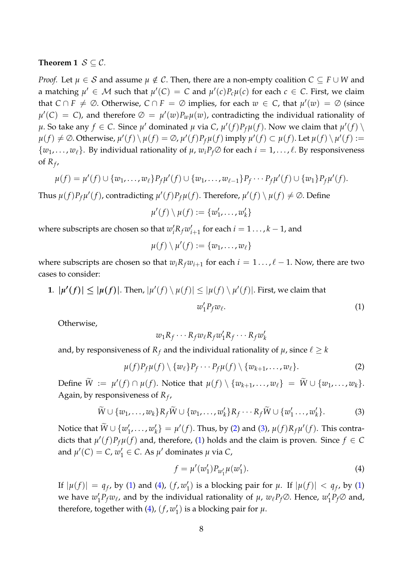#### **Theorem 1**  $S \subset C$ .

*Proof.* Let  $\mu \in S$  and assume  $\mu \notin C$ . Then, there are a non-empty coalition  $C \subseteq F \cup W$  and a matching  $\mu' \in \mathcal{M}$  such that  $\mu'(C) = C$  and  $\mu'(c)P_c\mu(c)$  for each  $c \in C$ . First, we claim that  $C \cap F \neq \emptyset$ . Otherwise,  $C \cap F = \emptyset$  implies, for each  $w \in C$ , that  $\mu'(w) = \emptyset$  (since  $\mu'(C) = C$ ), and therefore  $\varnothing = \mu'(w)P_w\mu(w)$ , contradicting the individual rationality of  $\mu$ . So take any  $f \in C$ . Since  $\mu'$  dominated  $\mu$  via C,  $\mu'(f)P_f\mu(f)$ . Now we claim that  $\mu'(f) \setminus$  $\mu(f) \neq \emptyset$ . Otherwise,  $\mu'(f) \setminus \mu(f) = \emptyset$ ,  $\mu'(f)P_f\mu(f)$  imply  $\mu'(f) \subset \mu(f)$ . Let  $\mu(f) \setminus \mu'(f) :=$  $\{w_1, \ldots, w_\ell\}$ . By individual rationality of  $\mu$ ,  $w_i P_f \oslash$  for each  $i = 1, \ldots, \ell$ . By responsiveness of *R<sup>f</sup>* ,

$$
\mu(f) = \mu'(f) \cup \{w_1, \ldots, w_\ell\} P_f \mu'(f) \cup \{w_1, \ldots, w_{\ell-1}\} P_f \cdots P_f \mu'(f) \cup \{w_1\} P_f \mu'(f).
$$

Thus  $\mu(f)P_f\mu'(f)$ , contradicting  $\mu'(f)P_f\mu(f)$ . Therefore,  $\mu'(f) \setminus \mu(f) \neq \emptyset$ . Define

$$
\mu'(f) \setminus \mu(f) := \{w'_1, \ldots, w'_k\}
$$

where subscripts are chosen so that  $w'_i R_f w'_i$  $i_{i+1}$  for each  $i = 1 \ldots, k-1$ , and

$$
\mu(f)\setminus\mu'(f):=\{w_1,\ldots,w_\ell\}
$$

where subscripts are chosen so that  $w_i R_f w_{i+1}$  for each  $i = 1 \dots, \ell - 1$ . Now, there are two cases to consider:

**1**.  $|\mu'(f)| \leq |\mu(f)|$ . Then,  $|\mu'(f) \setminus \mu(f)| \leq |\mu(f) \setminus \mu'(f)|$ . First, we claim that  $w'_1 P_f w_\ell$ .  $(1)$ 

Otherwise,

<span id="page-9-2"></span>
$$
w_1R_f\cdots R_f w_\ell R_f w'_1R_f\cdots R_f w'_k
$$

and, by responsiveness of  $R_f$  and the individual rationality of  $\mu$ , since  $\ell \geq k$ 

<span id="page-9-0"></span>
$$
\mu(f)P_f\mu(f) \setminus \{w_\ell\}P_f \cdots P_f\mu(f) \setminus \{w_{k+1}, \ldots, w_\ell\}.
$$
 (2)

 $\text{Define } \widetilde{W} := \mu'(f) \cap \mu(f). \text{ Notice that } \mu(f) \setminus \{w_{k+1}, \ldots, w_{\ell}\} = \widetilde{W} \cup \{w_1, \ldots, w_k\}.$ Again, by responsiveness of *R<sup>f</sup>* ,

<span id="page-9-1"></span>
$$
\widetilde{W} \cup \{w_1, \ldots, w_k\} R_f \widetilde{W} \cup \{w_1, \ldots, w_k'\} R_f \cdots R_f \widetilde{W} \cup \{w_1' \ldots, w_k'\}.
$$
 (3)

Notice that  $\widetilde{W} \cup \{w_1'$  $'_{1},\ldots,w'_{k}$  $\mathcal{H}_k$  =  $\mu'(f)$ . Thus, by [\(2\)](#page-9-0) and [\(3\)](#page-9-1),  $\mu(f)R_f\mu'(f)$ . This contradicts that  $\mu'(f)P_f\mu(f)$  and, therefore, [\(1\)](#page-9-2) holds and the claim is proven. Since  $f \in C$ and  $\mu'(C) = C$ ,  $w'_1 \in C$ . As  $\mu'$  dominates  $\mu$  via  $C$ ,

<span id="page-9-3"></span>
$$
f = \mu'(w'_1) P_{w'_1} \mu(w'_1). \tag{4}
$$

If  $|\mu(f)| = q_f$ , by [\(1\)](#page-9-2) and [\(4\)](#page-9-3),  $(f, w'_1)$  $\mathcal{H}_1$ ) is a blocking pair for  $\mu$ . If  $|\mu(f)| < q_f$ , by [\(1\)](#page-9-2) we have  $w_1^\prime$  $\int_{1}^{t}P_{f}w_{\ell}$ , and by the individual rationality of  $\mu$ ,  $w_{\ell}P_{f}\varnothing$ . Hence,  $w_{\ell}^{(0)}$  $P_f$  $\varnothing$  and, therefore, together with  $(4)$ ,  $(f, w)$  $y'_1$ ) is a blocking pair for  $\mu$ .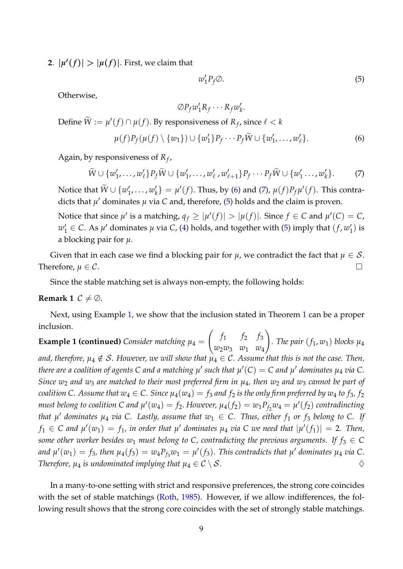**2**.  $|\mu'(f)| > |\mu(f)|$ . First, we claim that

<span id="page-10-2"></span>
$$
w_1' P_f \oslash. \tag{5}
$$

Otherwise,

$$
\emptyset P_f w_1 R_f \cdots R_f w_k'.
$$

Define  $\widetilde{W} := \mu'(f) \cap \mu(f)$ . By responsiveness of  $R_f$ , since  $\ell < k$ 

<span id="page-10-0"></span>
$$
\mu(f)P_f(\mu(f)\setminus\{w_1\})\cup\{w'_1\}P_f\cdots P_f\widetilde{W}\cup\{w'_1,\ldots,w'_\ell\}.
$$
 (6)

Again, by responsiveness of *R<sup>f</sup>* ,

<span id="page-10-1"></span>
$$
\widetilde{W} \cup \{w'_1, \ldots, w'_\ell\} P_f \widetilde{W} \cup \{w'_1, \ldots, w'_\ell, w'_{\ell+1}\} P_f \cdots P_f \widetilde{W} \cup \{w'_1, \ldots, w'_k\}.
$$
 (7)

Notice that  $\widetilde{W} \cup \{w_1'$  $'_{1},\ldots,w'_{k}$  $\mathcal{H}_k'$  =  $\mu'(f)$ . Thus, by [\(6\)](#page-10-0) and [\(7\)](#page-10-1),  $\mu(f)P_f\mu'(f)$ . This contradicts that  $\mu'$  dominates  $\mu$  via C and, therefore, [\(5\)](#page-10-2) holds and the claim is proven.

Notice that since  $\mu'$  is a matching,  $q_f \geq |\mu'(f)| > |\mu(f)|$ . Since  $f \in C$  and  $\mu'(C) = C$ ,  $w'_1 \in C$ . As  $\mu'$  dominates  $\mu$  via *C*, [\(4\)](#page-9-3) holds, and together with [\(5\)](#page-10-2) imply that  $(f, w'_1)$  $'_{1})$  is a blocking pair for *µ*.

Given that in each case we find a blocking pair for  $\mu$ , we contradict the fact that  $\mu \in \mathcal{S}$ . Therefore,  $\mu \in \mathcal{C}$ .

Since the stable matching set is always non-empty, the following holds:

#### **Remark 1**  $C \neq \emptyset$ .

Next, using Example [1,](#page-6-0) we show that the inclusion stated in Theorem [1](#page-8-1) can be a proper inclusion.

**Example 1 (continued)** *Consider matching*  $\mu_4 =$  $\int f_1 f_2 f_3$ *w*2*w*<sup>3</sup> *w*<sup>1</sup> *w*<sup>4</sup>  $\setminus$ *a*. The pair  $(f_1, w_1)$  blocks  $\mu_4$ *and, therefore,*  $\mu_4 \notin S$ . However, we will show that  $\mu_4 \in C$ . Assume that this is not the case. Then, there are a coalition of agents C and a matching  $\mu'$  such that  $\mu'(C)=C$  and  $\mu'$  dominates  $\mu_4$  via C. *Since w*<sup>2</sup> *and w*<sup>3</sup> *are matched to their most preferred firm in µ*4*, then w*<sup>2</sup> *and w*<sup>3</sup> *cannot be part of coalition C. Assume that*  $w_4 \in C$ *. Since*  $\mu_4(w_4) = f_3$  *and*  $f_2$  *is the only firm preferred by*  $w_4$  *to*  $f_3$ *,*  $f_2$ *must belong to coalition C and*  $\mu'(w_4) = f_2$ *. However,*  $\mu_4(f_2) = w_1 P_{f_2} w_4 = \mu'(f_2)$  *contradincting that*  $\mu'$  *dominates*  $\mu_4$  *via C. Lastly, assume that*  $w_1 \in C$ *. Thus, either*  $f_1$  *or*  $f_3$  *belong to C. If*  $f_1 \in C$  and  $\mu'(w_1) = f_1$ , in order that  $\mu'$  dominates  $\mu_4$  via  $C$  we need that  $|\mu'(f_1)| = 2$ . Then, *some other worker besides w<sub>1</sub> must belong to C, contradicting the previous arguments. If*  $f_3 \in C$ and  $\mu'(w_1) = f_3$ , then  $\mu_4(f_3) = w_4 P_{f_3} w_1 = \mu'(f_3)$ . This contradicts that  $\mu'$  dominates  $\mu_4$  via C. *Therefore,*  $\mu_4$  *is undominated implying that*  $\mu_4 \in C \setminus S$ .  $\diamondsuit$ 

<span id="page-10-3"></span>In a many-to-one setting with strict and responsive preferences, the strong core coincides with the set of stable matchings [\(Roth,](#page-17-1) [1985\)](#page-17-1). However, if we allow indifferences, the following result shows that the strong core coincides with the set of strongly stable matchings.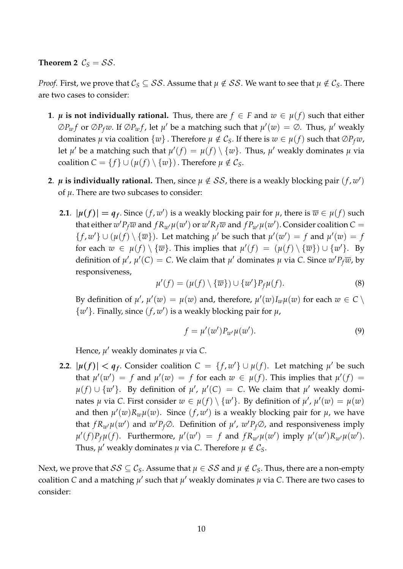**Theorem 2**  $C_S = SS$ .

*Proof.* First, we prove that  $C_S \subseteq SS$ . Assume that  $\mu \notin SS$ . We want to see that  $\mu \notin C_S$ . There are two cases to consider:

- **1**. *µ* **is not individually rational.** Thus, there are  $f \in F$  and  $w \in \mu(f)$  such that either  $\oslash P_w f$  or  $\oslash P_f w$ . If  $\oslash P_w f$ , let  $\mu'$  be a matching such that  $\mu'(w) = \oslash$ . Thus,  $\mu'$  weakly dominates *µ* via coalition  $\{w\}$ . Therefore  $\mu \notin C_S$ . If there is  $w \in \mu(f)$  such that  $\mathcal{O}P_f w$ , let  $\mu'$  be a matching such that  $\mu'(f) = \mu(f) \setminus \{w\}$ . Thus,  $\mu'$  weakly dominates  $\mu$  via coalition  $C = \{f\} \cup (\mu(f) \setminus \{w\})$ . Therefore  $\mu \notin C_S$ .
- **2.**  $\mu$  is individually rational. Then, since  $\mu \notin SS$ , there is a weakly blocking pair  $(f, w')$ of *µ*. There are two subcases to consider:
	- **2.1**.  $|\mu(f)| = q_f$ . Since  $(f, w')$  is a weakly blocking pair for  $\mu$ , there is  $\overline{w} \in \mu(f)$  such that either  $w'P_f\overline{w}$  and  $fR_{w'}\mu(w')$  or  $w'R_f\overline{w}$  and  $fP_{w'}\mu(w')$ . Consider coalition  $C=$  ${f, w' \} \cup (\mu(f) \setminus {\overline{w}}).$  Let matching  $\mu'$  be such that  $\mu'(w') = f$  and  $\mu'(w) = f$ for each  $w \in \mu(f) \setminus {\overline{w}}$ . This implies that  $\mu'(f) = (\mu(f) \setminus {\overline{w}}) \cup {\overline{w}}'$ . By definition of  $\mu'$ ,  $\mu'(C) = C$ . We claim that  $\mu'$  dominates  $\mu$  via *C*. Since  $w'P_f\overline{w}$ , by responsiveness,

<span id="page-11-0"></span>
$$
\mu'(f) = (\mu(f) \setminus {\overline{w}}) \cup {\{w'\}} P_f \mu(f). \tag{8}
$$

By definition of  $\mu'$ ,  $\mu'(w) = \mu(w)$  and, therefore,  $\mu'(w)I_w\mu(w)$  for each  $w \in C \setminus \mathcal{C}$  $\{w'\}$ . Finally, since  $(f, w')$  is a weakly blocking pair for  $\mu$ ,

<span id="page-11-1"></span>
$$
f = \mu'(w')P_{w'}\mu(w'). \tag{9}
$$

Hence, *µ* ′ weakly dominates *µ* via *C*.

**2.2**.  $|\mu(f)| < q_f$ . Consider coalition  $C = \{f, w'\} \cup \mu(f)$ . Let matching  $\mu'$  be such that  $\mu'(w') = f$  and  $\mu'(w) = f$  for each  $w \in \mu(f)$ . This implies that  $\mu'(f) =$ *µ*(*f*) ∪ {*w*<sup>'</sup>}. By definition of *µ*<sup>'</sup>, *µ*<sup>'</sup>(C) = C. We claim that *µ*<sup>'</sup> weakly dominates  $\mu$  via C. First consider  $w \in \mu(f) \setminus \{w'\}$ . By definition of  $\mu'$ ,  $\mu'(w) = \mu(w)$ and then  $\mu'(w)R_w\mu(w)$ . Since  $(f, w')$  is a weakly blocking pair for  $\mu$ , we have that  $f R_{w'} \mu(w')$  and  $w' P_f \emptyset$ . Definition of  $\mu'$ ,  $w' P_f \emptyset$ , and responsiveness imply  $\mu'(f)P_f\mu(f)$ . Furthermore,  $\mu'(w') = f$  and  $fR_{w'}\mu(w')$  imply  $\mu'(w')R_{w'}\mu(w')$ . Thus,  $\mu'$  weakly dominates  $\mu$  via C. Therefore  $\mu \notin C_S$ .

Next, we prove that  $SS \subseteq C_S$ . Assume that  $\mu \in SS$  and  $\mu \notin C_S$ . Thus, there are a non-empty coalition C and a matching  $\mu'$  such that  $\mu'$  weakly dominates  $\mu$  via C. There are two cases to consider: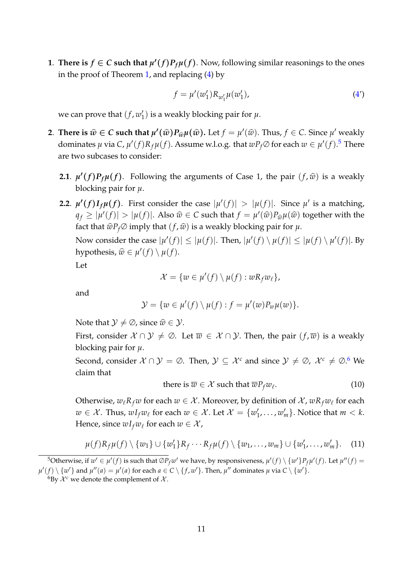**1**. **There is**  $f \in C$  such that  $\mu'(f)P_f\mu(f)$ . Now, following similar reasonings to the ones in the proof of Theorem [1,](#page-8-1) and replacing [\(4\)](#page-9-3) by

$$
f = \mu'(w'_1) R_{w'_1} \mu(w'_1), \tag{4'}
$$

we can prove that  $(f, w_1)$  $_1^{\prime}$ ) is a weakly blocking pair for  $\mu.$ 

- **2**. **There is**  $\hat{w} \in C$  **such that**  $\mu'(\hat{w})P_{\hat{w}}\mu(\hat{w})$ . Let  $f = \mu'(\hat{w})$ . Thus,  $f \in C$ . Since  $\mu'$  weakly dominates  $\mu$  via C,  $\mu'(f)R_f\mu(f)$ . Assume w.l.o.g. that  $wP_f\varnothing$  for each  $w\in\mu'(f).$ <sup>[5](#page-12-0)</sup> There are two subcases to consider:
	- **2.1**.  $\mu'(f)P_f\mu(f)$ . Following the arguments of Case 1, the pair  $(f, \hat{w})$  is a weakly blocking pair for *µ*.
	- **2.2**.  $\mu'(f)I_f\mu(f)$ . First consider the case  $|\mu'(f)| > |\mu(f)|$ . Since  $\mu'$  is a matching,  $q_f \ge | \mu'(f) | > | \mu(f) |$ . Also  $\hat{w} \in C$  such that  $f = \mu'(\hat{w}) P_{\hat{w}} \mu(\hat{w})$  together with the fact that  $\widehat{w}P_f\oslash$  *imply that*  $(f,\widehat{w})$  *is a weakly blocking pair for*  $\mu$ *.*

Now consider the case  $|\mu'(f)| \leq |\mu(f)|$ . Then,  $|\mu'(f) \setminus \mu(f)| \leq |\mu(f) \setminus \mu'(f)|$ . By hypothesis,  $\widehat{w} \in \mu'(f) \setminus \mu(f)$ .

Let

$$
\mathcal{X} = \{ w \in \mu'(f) \setminus \mu(f) : wR_f w_\ell \},
$$

and

$$
\mathcal{Y} = \{ w \in \mu'(f) \setminus \mu(f) : f = \mu'(w) P_w \mu(w) \}.
$$

Note that  $\mathcal{Y} \neq \emptyset$ , since  $\widehat{w} \in \mathcal{Y}$ .

First, consider  $X \cap Y \neq \emptyset$ . Let  $\overline{w} \in X \cap Y$ . Then, the pair  $(f, \overline{w})$  is a weakly blocking pair for *µ*.

Second, consider  $X \cap Y = \emptyset$ . Then,  $Y \subseteq X^c$  and since  $Y \neq \emptyset$ ,  $X^c \neq \emptyset$ . We claim that

<span id="page-12-3"></span>there is 
$$
\overline{w} \in \mathcal{X}
$$
 such that  $\overline{w}P_f w_\ell$ . (10)

Otherwise,  $w_{\ell}R_{f}w$  for each  $w \in \mathcal{X}$ . Moreover, by definition of  $\mathcal{X}$ ,  $wR_{f}w_{\ell}$  for each  $w \in \mathcal{X}$ . Thus,  $wI_fw_\ell$  for each  $w \in \mathcal{X}$ . Let  $\mathcal{X} = \{w_1^\ell\}$  $\{w'_1, \ldots, w'_m\}$ . Notice that  $m < k$ . Hence, since  $wI_fw_\ell$  for each  $w \in \mathcal{X}$ ,

<span id="page-12-2"></span>
$$
\mu(f)R_f\mu(f) \setminus \{w_1\} \cup \{w'_1\}R_f \cdots R_f\mu(f) \setminus \{w_1,\ldots,w_m\} \cup \{w'_1,\ldots,w'_m\}.
$$
 (11)

<span id="page-12-0"></span> $^5$ Otherwise, if  $w' \in \mu'(f)$  is such that  $\oslash P_f w'$  we have, by responsiveness,  $\mu'(f) \setminus \{w'\}P_f\mu'(f)$ . Let  $\mu''(f) =$  $\mu'(f) \setminus \{w'\}$  and  $\mu''(a) = \mu'(a)$  for each  $a \in C \setminus \{f,w'\}.$  Then,  $\mu''$  dominates  $\mu$  via  $C \setminus \{w'\}.$ 

<span id="page-12-1"></span><sup>&</sup>lt;sup>6</sup>By  $\mathcal{X}^c$  we denote the complement of  $\mathcal{X}$ .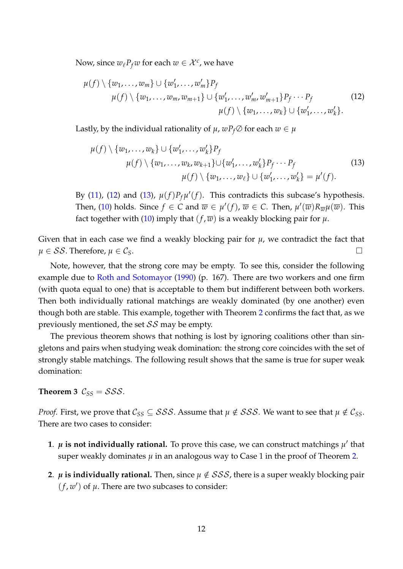Now, since  $w_{\ell}P_fw$  for each  $w \in \mathcal{X}^c$ , we have

<span id="page-13-0"></span>
$$
\mu(f) \setminus \{w_1, \ldots, w_m\} \cup \{w'_1, \ldots, w'_m\} P_f
$$
\n
$$
\mu(f) \setminus \{w_1, \ldots, w_m, w_{m+1}\} \cup \{w'_1, \ldots, w'_m, w'_{m+1}\} P_f \cdots P_f
$$
\n
$$
\mu(f) \setminus \{w_1, \ldots, w_k\} \cup \{w'_1, \ldots, w'_k\}.
$$
\n(12)

Lastly, by the individual rationality of  $\mu$ ,  $wP_f\varnothing$  for each  $w \in \mu$ 

<span id="page-13-1"></span>
$$
\mu(f) \setminus \{w_1, \ldots, w_k\} \cup \{w'_1, \ldots, w'_k\} P_f
$$
\n
$$
\mu(f) \setminus \{w_1, \ldots, w_k, w_{k+1}\} \cup \{w'_1, \ldots, w'_k\} P_f \cdots P_f
$$
\n
$$
\mu(f) \setminus \{w_1, \ldots, w_\ell\} \cup \{w'_1, \ldots, w'_k\} = \mu'(f).
$$
\n(13)

By [\(11\)](#page-12-2), [\(12\)](#page-13-0) and [\(13\)](#page-13-1),  $\mu(f)P_f\mu'(f)$ . This contradicts this subcase's hypothesis. Then, [\(10\)](#page-12-3) holds. Since  $f \in C$  and  $\overline{w} \in \mu'(f)$ ,  $\overline{w} \in C$ . Then,  $\mu'(\overline{w})R_{\overline{w}}\mu(\overline{w})$ . This fact together with [\(10\)](#page-12-3) imply that  $(f, \overline{w})$  is a weakly blocking pair for  $\mu$ .

Given that in each case we find a weakly blocking pair for  $\mu$ , we contradict the fact that  $\mu \in \mathcal{SS}$ . Therefore,  $\mu \in \mathcal{C}_S$ .

Note, however, that the strong core may be empty. To see this, consider the following example due to [Roth and Sotomayor](#page-17-10) [\(1990\)](#page-17-10) (p. 167). There are two workers and one firm (with quota equal to one) that is acceptable to them but indifferent between both workers. Then both individually rational matchings are weakly dominated (by one another) even though both are stable. This example, together with Theorem [2](#page-10-3) confirms the fact that, as we previously mentioned, the set  $SS$  may be empty.

The previous theorem shows that nothing is lost by ignoring coalitions other than singletons and pairs when studying weak domination: the strong core coincides with the set of strongly stable matchings. The following result shows that the same is true for super weak domination:

<span id="page-13-2"></span>**Theorem 3**  $C_{SS} = SSS$ .

*Proof.* First, we prove that  $C_{SS} \subseteq SSS$ . Assume that  $\mu \notin SSS$ . We want to see that  $\mu \notin C_{SS}$ . There are two cases to consider:

- 1.  $\mu$  is not individually rational. To prove this case, we can construct matchings  $\mu'$  that super weakly dominates  $\mu$  in an analogous way to Case 1 in the proof of Theorem [2.](#page-10-3)
- **2.**  $\mu$  **is individually rational.** Then, since  $\mu \notin SSS$ , there is a super weakly blocking pair  $(f, w')$  of  $\mu$ . There are two subcases to consider: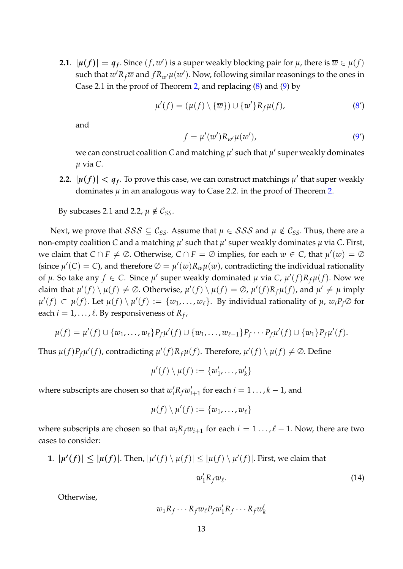**2.1**.  $|\mu(f)| = q_f$ . Since  $(f, w')$  is a super weakly blocking pair for  $\mu$ , there is  $\overline{w} \in \mu(f)$ such that  $w'R_f\overline{w}$  and  $fR_{w'}\mu(w')$ . Now, following similar reasonings to the ones in Case 2.1 in the proof of Theorem [2,](#page-10-3) and replacing [\(8\)](#page-11-0) and [\(9\)](#page-11-1) by

$$
\mu'(f) = (\mu(f) \setminus {\overline{w}}) \cup {\{w'\}} R_f \mu(f), \tag{8'}
$$

and

$$
f = \mu'(w')R_{w'}\mu(w'),\tag{9'}
$$

we can construct coalition  $C$  and matching  $\mu'$  such that  $\mu'$  super weakly dominates *µ* via *C*.

**2.2**.  $|\mu(f)| < q_f$ . To prove this case, we can construct matchings  $\mu'$  that super weakly dominates  $\mu$  in an analogous way to Case [2.](#page-10-3)2. in the proof of Theorem 2.

By subcases 2.1 and 2.2,  $\mu \notin \mathcal{C}_{SS}$ .

Next, we prove that  $SSS \subseteq C_{SS}$ . Assume that  $\mu \in SSS$  and  $\mu \notin C_{SS}$ . Thus, there are a non-empty coalition  $C$  and a matching  $\mu'$  such that  $\mu'$  super weakly dominates  $\mu$  via  $C.$  First, we claim that  $C \cap F \neq \emptyset$ . Otherwise,  $C \cap F = \emptyset$  implies, for each  $w \in C$ , that  $\mu'(w) = \emptyset$ (since  $\mu'(C) = C$ ), and therefore  $\varnothing = \mu'(w)R_w\mu(w)$ , contradicting the individual rationality of  $\mu$ . So take any  $f \in C$ . Since  $\mu'$  super weakly dominated  $\mu$  via  $C$ ,  $\mu'(f)R_f\mu(f)$ . Now we claim that  $\mu'(f) \setminus \mu(f) \neq \emptyset$ . Otherwise,  $\mu'(f) \setminus \mu(f) = \emptyset$ ,  $\mu'(f)R_f\mu(f)$ , and  $\mu' \neq \mu$  imply  $\mu'(f) \subset \mu(f)$ . Let  $\mu(f) \setminus \mu'(f) := \{w_1, \ldots, w_\ell\}$ . By individual rationality of  $\mu$ ,  $w_i P_f \oslash$  for each  $i = 1, \ldots, \ell$ . By responsiveness of  $R_f$ ,

$$
\mu(f) = \mu'(f) \cup \{w_1, \ldots, w_\ell\} P_f \mu'(f) \cup \{w_1, \ldots, w_{\ell-1}\} P_f \cdots P_f \mu'(f) \cup \{w_1\} P_f \mu'(f).
$$

Thus  $\mu(f)P_f\mu'(f)$ , contradicting  $\mu'(f)R_f\mu(f)$ . Therefore,  $\mu'(f) \setminus \mu(f) \neq \emptyset$ . Define

$$
\mu'(f) \setminus \mu(f) := \{w'_1, \ldots, w'_k\}
$$

where subscripts are chosen so that  $w'_i R_f w'_i$  $i_{i+1}$  for each  $i = 1 \ldots, k-1$ , and

$$
\mu(f)\setminus\mu'(f):=\{w_1,\ldots,w_\ell\}
$$

where subscripts are chosen so that  $w_i R_f w_{i+1}$  for each  $i = 1 \dots, \ell - 1$ . Now, there are two cases to consider:

**1**.  $|\mu'(f)| \leq |\mu(f)|$ . Then,  $|\mu'(f) \setminus \mu(f)| \leq |\mu(f) \setminus \mu'(f)|$ . First, we claim that

<span id="page-14-0"></span>
$$
w_1' R_f w_\ell. \tag{14}
$$

Otherwise,

$$
w_1 R_f \cdots R_f w_\ell P_f w'_1 R_f \cdots R_f w'_k
$$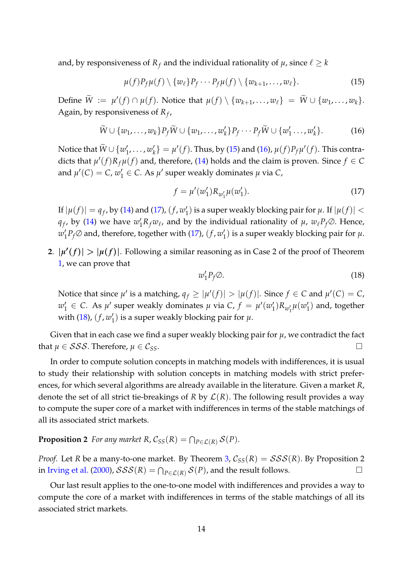and, by responsiveness of  $R_f$  and the individual rationality of  $\mu$ , since  $\ell \geq k$ 

<span id="page-15-0"></span>
$$
\mu(f)P_f\mu(f) \setminus \{w_\ell\}P_f \cdots P_f\mu(f) \setminus \{w_{k+1}, \ldots, w_\ell\}.
$$
\n(15)

 $\text{Define } \widetilde{W} := \mu'(f) \cap \mu(f). \text{ Notice that } \mu(f) \setminus \{w_{k+1}, \ldots, w_{\ell}\} = \widetilde{W} \cup \{w_1, \ldots, w_k\}.$ Again, by responsiveness of *R<sup>f</sup>* ,

<span id="page-15-1"></span>
$$
\widetilde{W} \cup \{w_1, \ldots, w_k\} P_f \widetilde{W} \cup \{w_1, \ldots, w'_k\} P_f \cdots P_f \widetilde{W} \cup \{w'_1, \ldots, w'_k\}.
$$
 (16)

Notice that  $\widetilde{W} \cup \{w_1'$  $'_{1},\ldots,w'_{k}$  $\mathcal{H}_k'$  =  $\mu'(f)$ . Thus, by [\(15\)](#page-15-0) and [\(16\)](#page-15-1),  $\mu(f)P_f\mu'(f)$ . This contradicts that  $\mu'(f)R_f\mu(f)$  and, therefore, [\(14\)](#page-14-0) holds and the claim is proven. Since  $f \in C$ and  $\mu'(C) = C$ ,  $w'_1 \in C$ . As  $\mu'$  super weakly dominates  $\mu$  via  $C$ ,

<span id="page-15-2"></span>
$$
f = \mu'(w'_1) R_{w'_1} \mu(w'_1). \tag{17}
$$

If  $|\mu(f)| = q_f$ , by [\(14\)](#page-14-0) and [\(17\)](#page-15-2),  $(f, w_1')$  $_1^{\prime}$ ) is a super weakly blocking pair for  $\mu$ . If  $|\mu(f)| <$ *q*<sub>f</sub>, by [\(14\)](#page-14-0) we have  $w'_1R_fw_{\ell}$ , and by the individual rationality of  $\mu$ ,  $w_{\ell}P_f\varnothing$ . Hence,  $w'_1$  $\int_{1}^{t} P_{f} \varnothing$  and, therefore, together with [\(17\)](#page-15-2),  $(f, w_{1}^{f})$  $'_{1}$ ) is a super weakly blocking pair for  $\mu$ .

**2.**  $|\mu'(f)| > |\mu(f)|$ . Following a similar reasoning as in Case 2 of the proof of Theorem [1,](#page-8-1) we can prove that

<span id="page-15-3"></span>
$$
w_1' P_f \oslash. \tag{18}
$$

Notice that since  $\mu'$  is a matching,  $q_f \geq |\mu'(f)| > |\mu(f)|$ . Since  $f \in C$  and  $\mu'(C) = C$ ,  $w'_1 \in C$ . As  $\mu'$  super weakly dominates  $\mu$  via  $C$ ,  $f = \mu'(w'_1)$  $\mu_{1}^{\prime})R_{w_{1}^{\prime}}\mu(w_{1}^{\prime})$  $_1'$ ) and, together with  $(18)$ ,  $(f, w_1')$  $_1^{\prime})$  is a super weakly blocking pair for  $\mu.$ 

Given that in each case we find a super weakly blocking pair for  $\mu$ , we contradict the fact that  $\mu \in SSS$ . Therefore,  $\mu \in \mathcal{C}_{SS}$ .

In order to compute solution concepts in matching models with indifferences, it is usual to study their relationship with solution concepts in matching models with strict preferences, for which several algorithms are already available in the literature. Given a market *R*, denote the set of all strict tie-breakings of *R* by  $\mathcal{L}(R)$ . The following result provides a way to compute the super core of a market with indifferences in terms of the stable matchings of all its associated strict markets.

#### **Proposition 2** *For any market R,*  $C_{SS}(R) = \bigcap_{P \in \mathcal{L}(R)} \mathcal{S}(P)$ .

*Proof.* Let *R* be a many-to-one market. By Theorem [3,](#page-13-2)  $C_{SS}(R) = SSS(R)$ . By Proposition 2 in [Irving et al.](#page-17-5) [\(2000\)](#page-17-5),  $\mathcal{SSS}(R) = \bigcap_{P \in \mathcal{L}(R)} \mathcal{S}(P)$ , and the result follows. □

Our last result applies to the one-to-one model with indifferences and provides a way to compute the core of a market with indifferences in terms of the stable matchings of all its associated strict markets.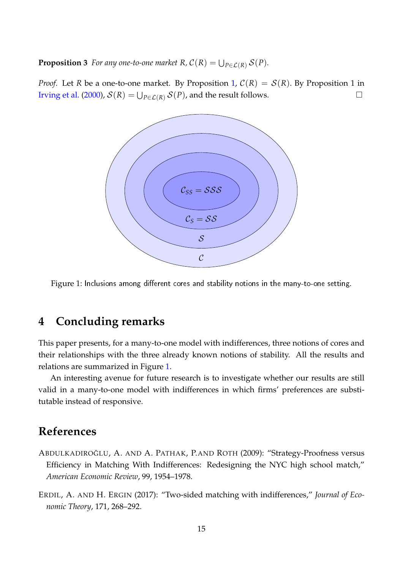**Proposition 3** For any one-to-one market  $R$ ,  $C(R) = \bigcup_{P \in \mathcal{L}(R)} \mathcal{S}(P)$ .

*Proof.* Let *R* be a one-to-one market. By Proposition [1,](#page-8-2)  $C(R) = S(R)$ . By Proposition 1 in [Irving et al.](#page-17-5) [\(2000\)](#page-17-5),  $S(R) = \bigcup_{P \in \mathcal{L}(R)} S(P)$ , and the result follows.



<span id="page-16-3"></span>Figure 1: Inclusions among different cores and stability notions in the many-to-one setting.

# <span id="page-16-2"></span>**4 Concluding remarks**

This paper presents, for a many-to-one model with indifferences, three notions of cores and their relationships with the three already known notions of stability. All the results and relations are summarized in Figure [1.](#page-16-3)

An interesting avenue for future research is to investigate whether our results are still valid in a many-to-one model with indifferences in which firms' preferences are substitutable instead of responsive.

# **References**

- <span id="page-16-1"></span>ABDULKADIROĞLU, A. AND A. PATHAK, P.AND ROTH (2009): "Strategy-Proofness versus Efficiency in Matching With Indifferences: Redesigning the NYC high school match," *American Economic Review*, 99, 1954–1978.
- <span id="page-16-0"></span>ERDIL, A. AND H. ERGIN (2017): "Two-sided matching with indifferences," *Journal of Economic Theory*, 171, 268–292.